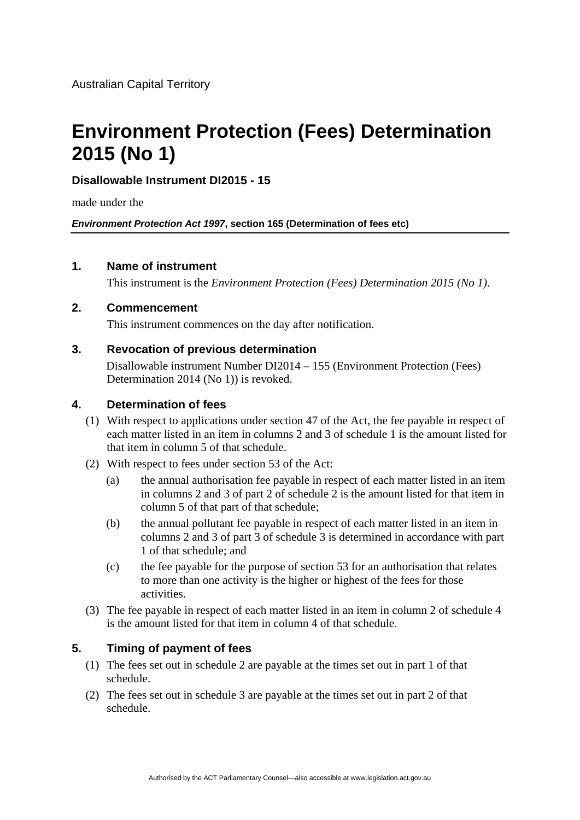# **Environment Protection (Fees) Determination 2015 (No 1)**

## **Disallowable Instrument DI2015 - 15**

made under the

*Environment Protection Act 1997***, section 165 (Determination of fees etc)**

#### **1. Name of instrument**

This instrument is the *Environment Protection (Fees) Determination 2015 (No 1).*

#### **2. Commencement**

This instrument commences on the day after notification.

## **3. Revocation of previous determination**

Disallowable instrument Number DI2014 – 155 (Environment Protection (Fees) Determination 2014 (No 1)) is revoked.

## **4. Determination of fees**

- (1) With respect to applications under section 47 of the Act, the fee payable in respect of each matter listed in an item in columns 2 and 3 of schedule 1 is the amount listed for that item in column 5 of that schedule.
- (2) With respect to fees under section 53 of the Act:
	- (a) the annual authorisation fee payable in respect of each matter listed in an item in columns 2 and 3 of part 2 of schedule 2 is the amount listed for that item in column 5 of that part of that schedule;
	- (b) the annual pollutant fee payable in respect of each matter listed in an item in columns 2 and 3 of part 3 of schedule 3 is determined in accordance with part 1 of that schedule; and
	- (c) the fee payable for the purpose of section 53 for an authorisation that relates to more than one activity is the higher or highest of the fees for those activities.
- (3) The fee payable in respect of each matter listed in an item in column 2 of schedule 4 is the amount listed for that item in column 4 of that schedule.

## **5. Timing of payment of fees**

- (1) The fees set out in schedule 2 are payable at the times set out in part 1 of that schedule.
- (2) The fees set out in schedule 3 are payable at the times set out in part 2 of that schedule.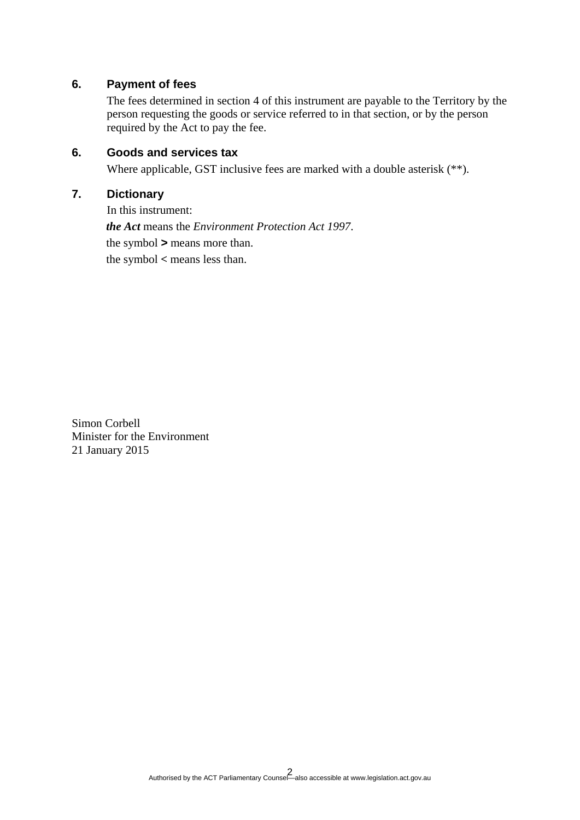#### **6. Payment of fees**

The fees determined in section 4 of this instrument are payable to the Territory by the person requesting the goods or service referred to in that section, or by the person required by the Act to pay the fee.

#### **6. Goods and services tax**

Where applicable, GST inclusive fees are marked with a double asterisk (\*\*).

### **7. Dictionary**

In this instrument: *the Act* means the *Environment Protection Act 1997*. the symbol *>* means more than. the symbol **<** means less than.

Simon Corbell Minister for the Environment 21 January 2015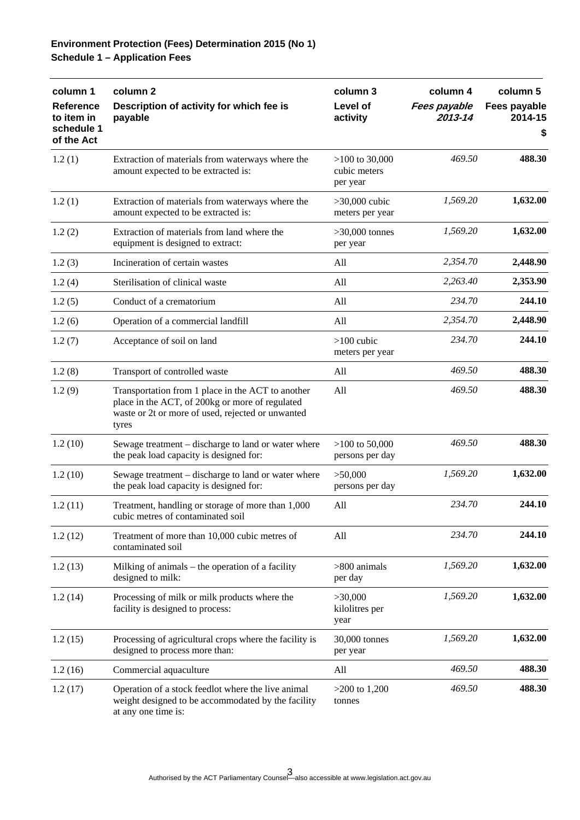| column 1                                     | column 2                                                                                                                                                           | column 3                                     | column 4                | column 5                      |
|----------------------------------------------|--------------------------------------------------------------------------------------------------------------------------------------------------------------------|----------------------------------------------|-------------------------|-------------------------------|
| <b>Reference</b><br>to item in<br>schedule 1 | Description of activity for which fee is<br>payable                                                                                                                | Level of<br>activity                         | Fees payable<br>2013-14 | Fees payable<br>2014-15<br>\$ |
| of the Act                                   |                                                                                                                                                                    |                                              |                         |                               |
| 1.2(1)                                       | Extraction of materials from waterways where the<br>amount expected to be extracted is:                                                                            | $>100$ to 30,000<br>cubic meters<br>per year | 469.50                  | 488.30                        |
| 1.2(1)                                       | Extraction of materials from waterways where the<br>amount expected to be extracted is:                                                                            | $>30,000$ cubic<br>meters per year           | 1,569.20                | 1,632.00                      |
| 1.2(2)                                       | Extraction of materials from land where the<br>equipment is designed to extract:                                                                                   | $>30,000$ tonnes<br>per year                 | 1,569.20                | 1,632.00                      |
| 1.2(3)                                       | Incineration of certain wastes                                                                                                                                     | All                                          | 2,354.70                | 2,448.90                      |
| 1.2(4)                                       | Sterilisation of clinical waste                                                                                                                                    | All                                          | 2,263.40                | 2,353.90                      |
| 1.2(5)                                       | Conduct of a crematorium                                                                                                                                           | All                                          | 234.70                  | 244.10                        |
| 1.2(6)                                       | Operation of a commercial landfill                                                                                                                                 | All                                          | 2,354.70                | 2,448.90                      |
| 1.2(7)                                       | Acceptance of soil on land                                                                                                                                         | $>100$ cubic<br>meters per year              | 234.70                  | 244.10                        |
| 1.2(8)                                       | Transport of controlled waste                                                                                                                                      | All                                          | 469.50                  | 488.30                        |
| 1.2(9)                                       | Transportation from 1 place in the ACT to another<br>place in the ACT, of 200kg or more of regulated<br>waste or 2t or more of used, rejected or unwanted<br>tyres | All                                          | 469.50                  | 488.30                        |
| 1.2(10)                                      | Sewage treatment – discharge to land or water where<br>the peak load capacity is designed for:                                                                     | $>100$ to 50,000<br>persons per day          | 469.50                  | 488.30                        |
| 1.2(10)                                      | Sewage treatment – discharge to land or water where<br>the peak load capacity is designed for:                                                                     | >50,000<br>persons per day                   | 1,569.20                | 1,632.00                      |
| 1.2(11)                                      | Treatment, handling or storage of more than 1,000<br>cubic metres of contaminated soil                                                                             | All                                          | 234.70                  | 244.10                        |
| 1.2(12)                                      | Treatment of more than 10,000 cubic metres of<br>contaminated soil                                                                                                 | All                                          | 234.70                  | 244.10                        |
| 1.2(13)                                      | Milking of animals – the operation of a facility<br>designed to milk:                                                                                              | >800 animals<br>per day                      | 1,569.20                | 1,632.00                      |
| 1.2(14)                                      | Processing of milk or milk products where the<br>facility is designed to process:                                                                                  | >30,000<br>kilolitres per<br>year            | 1,569.20                | 1,632.00                      |
| 1.2(15)                                      | Processing of agricultural crops where the facility is<br>designed to process more than:                                                                           | 30,000 tonnes<br>per year                    | 1,569.20                | 1,632.00                      |
| 1.2(16)                                      | Commercial aquaculture                                                                                                                                             | All                                          | 469.50                  | 488.30                        |
| 1.2(17)                                      | Operation of a stock feedlot where the live animal<br>weight designed to be accommodated by the facility<br>at any one time is:                                    | $>200$ to 1,200<br>tonnes                    | 469.50                  | 488.30                        |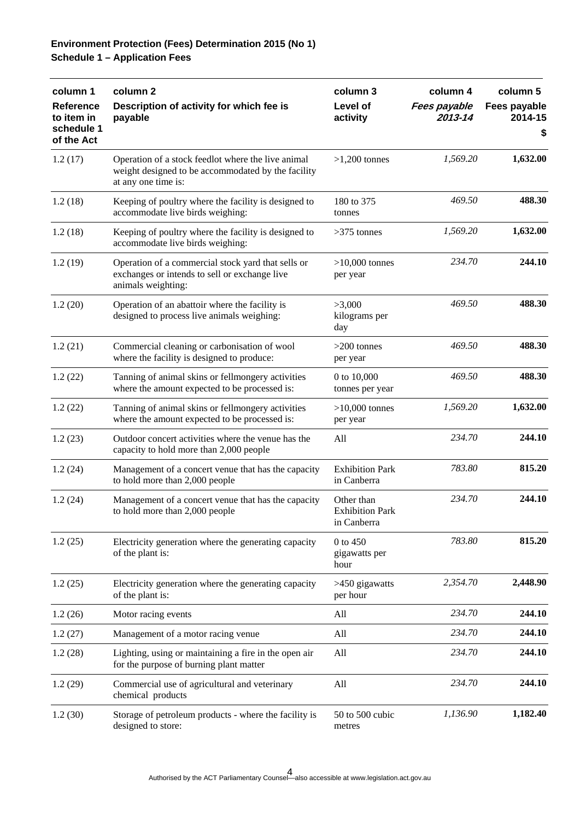| column 1                                                   | column 2                                                                                                                        | column 3                                            | column 4                | column 5                      |
|------------------------------------------------------------|---------------------------------------------------------------------------------------------------------------------------------|-----------------------------------------------------|-------------------------|-------------------------------|
| <b>Reference</b><br>to item in<br>schedule 1<br>of the Act | Description of activity for which fee is<br>payable                                                                             | Level of<br>activity                                | Fees payable<br>2013-14 | Fees payable<br>2014-15<br>\$ |
| 1.2(17)                                                    | Operation of a stock feedlot where the live animal<br>weight designed to be accommodated by the facility<br>at any one time is: | $>1,200$ tonnes                                     | 1,569.20                | 1,632.00                      |
| 1.2(18)                                                    | Keeping of poultry where the facility is designed to<br>accommodate live birds weighing:                                        | 180 to 375<br>tonnes                                | 469.50                  | 488.30                        |
| 1.2(18)                                                    | Keeping of poultry where the facility is designed to<br>accommodate live birds weighing:                                        | $>375$ tonnes                                       | 1,569.20                | 1,632.00                      |
| 1.2(19)                                                    | Operation of a commercial stock yard that sells or<br>exchanges or intends to sell or exchange live<br>animals weighting:       | $>10,000$ tonnes<br>per year                        | 234.70                  | 244.10                        |
| 1.2(20)                                                    | Operation of an abattoir where the facility is<br>designed to process live animals weighing:                                    | >3,000<br>kilograms per<br>day                      | 469.50                  | 488.30                        |
| 1.2(21)                                                    | Commercial cleaning or carbonisation of wool<br>where the facility is designed to produce:                                      | $>200$ tonnes<br>per year                           | 469.50                  | 488.30                        |
| 1.2(22)                                                    | Tanning of animal skins or fellmongery activities<br>where the amount expected to be processed is:                              | 0 to 10,000<br>tonnes per year                      | 469.50                  | 488.30                        |
| 1.2(22)                                                    | Tanning of animal skins or fellmongery activities<br>where the amount expected to be processed is:                              | $>10,000$ tonnes<br>per year                        | 1,569.20                | 1,632.00                      |
| 1.2(23)                                                    | Outdoor concert activities where the venue has the<br>capacity to hold more than 2,000 people                                   | All                                                 | 234.70                  | 244.10                        |
| 1.2(24)                                                    | Management of a concert venue that has the capacity<br>to hold more than 2,000 people                                           | <b>Exhibition Park</b><br>in Canberra               | 783.80                  | 815.20                        |
| 1.2(24)                                                    | Management of a concert venue that has the capacity<br>to hold more than 2,000 people                                           | Other than<br><b>Exhibition Park</b><br>in Canberra | 234.70                  | 244.10                        |
| 1.2(25)                                                    | Electricity generation where the generating capacity<br>of the plant is:                                                        | 0 to 450<br>gigawatts per<br>hour                   | 783.80                  | 815.20                        |
| 1.2(25)                                                    | Electricity generation where the generating capacity<br>of the plant is:                                                        | >450 gigawatts<br>per hour                          | 2,354.70                | 2,448.90                      |
| 1.2(26)                                                    | Motor racing events                                                                                                             | All                                                 | 234.70                  | 244.10                        |
| 1.2(27)                                                    | Management of a motor racing venue                                                                                              | All                                                 | 234.70                  | 244.10                        |
| 1.2(28)                                                    | Lighting, using or maintaining a fire in the open air<br>for the purpose of burning plant matter                                | All                                                 | 234.70                  | 244.10                        |
| 1.2(29)                                                    | Commercial use of agricultural and veterinary<br>chemical products                                                              | All                                                 | 234.70                  | 244.10                        |
| 1.2(30)                                                    | Storage of petroleum products - where the facility is<br>designed to store:                                                     | 50 to 500 cubic<br>metres                           | 1,136.90                | 1,182.40                      |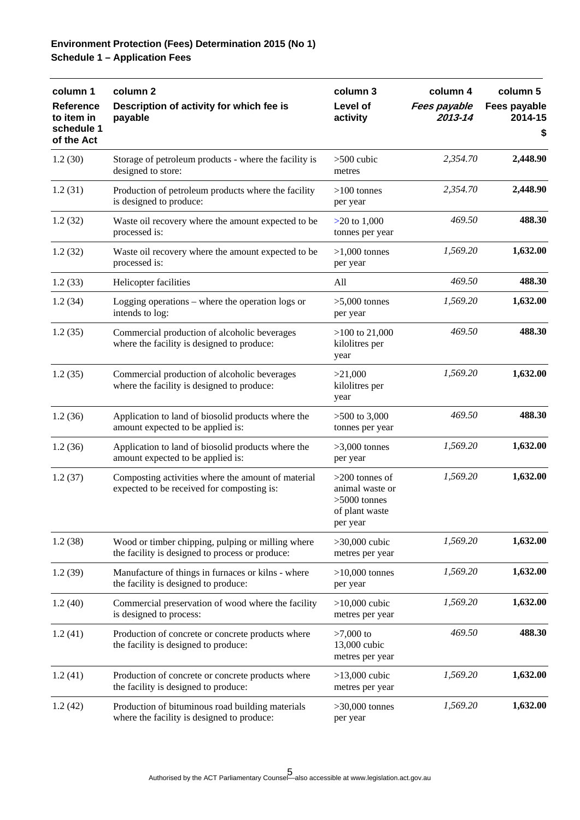| column 1                                                   | column 2                                                                                             | column 3                                                                            | column 4                       | column 5                      |
|------------------------------------------------------------|------------------------------------------------------------------------------------------------------|-------------------------------------------------------------------------------------|--------------------------------|-------------------------------|
| <b>Reference</b><br>to item in<br>schedule 1<br>of the Act | Description of activity for which fee is<br>payable                                                  | Level of<br>activity                                                                | <b>Fees payable</b><br>2013-14 | Fees payable<br>2014-15<br>\$ |
| 1.2(30)                                                    | Storage of petroleum products - where the facility is<br>designed to store:                          | $>500$ cubic<br>metres                                                              | 2,354.70                       | 2,448.90                      |
| 1.2(31)                                                    | Production of petroleum products where the facility<br>is designed to produce:                       | $>100$ tonnes<br>per year                                                           | 2,354.70                       | 2,448.90                      |
| 1.2(32)                                                    | Waste oil recovery where the amount expected to be<br>processed is:                                  | $>20$ to 1,000<br>tonnes per year                                                   | 469.50                         | 488.30                        |
| 1.2(32)                                                    | Waste oil recovery where the amount expected to be<br>processed is:                                  | $>1,000$ tonnes<br>per year                                                         | 1,569.20                       | 1,632.00                      |
| 1.2(33)                                                    | Helicopter facilities                                                                                | All                                                                                 | 469.50                         | 488.30                        |
| 1.2(34)                                                    | Logging operations – where the operation logs or<br>intends to log:                                  | $>5,000$ tonnes<br>per year                                                         | 1,569.20                       | 1,632.00                      |
| 1.2(35)                                                    | Commercial production of alcoholic beverages<br>where the facility is designed to produce:           | $>100$ to 21,000<br>kilolitres per<br>year                                          | 469.50                         | 488.30                        |
| 1.2(35)                                                    | Commercial production of alcoholic beverages<br>where the facility is designed to produce:           | >21,000<br>kilolitres per<br>year                                                   | 1,569.20                       | 1,632.00                      |
| 1.2(36)                                                    | Application to land of biosolid products where the<br>amount expected to be applied is:              | $>500$ to 3,000<br>tonnes per year                                                  | 469.50                         | 488.30                        |
| 1.2(36)                                                    | Application to land of biosolid products where the<br>amount expected to be applied is:              | $>3,000$ tonnes<br>per year                                                         | 1,569.20                       | 1,632.00                      |
| 1.2(37)                                                    | Composting activities where the amount of material<br>expected to be received for composting is:     | $>200$ tonnes of<br>animal waste or<br>$>5000$ tonnes<br>of plant waste<br>per year | 1,569.20                       | 1,632.00                      |
| 1.2(38)                                                    | Wood or timber chipping, pulping or milling where<br>the facility is designed to process or produce: | $>30,000$ cubic<br>metres per year                                                  | 1,569.20                       | 1,632.00                      |
| 1.2(39)                                                    | Manufacture of things in furnaces or kilns - where<br>the facility is designed to produce:           | $>10,000$ tonnes<br>per year                                                        | 1,569.20                       | 1,632.00                      |
| 1.2(40)                                                    | Commercial preservation of wood where the facility<br>is designed to process:                        | $>10,000$ cubic<br>metres per year                                                  | 1,569.20                       | 1,632.00                      |
| 1.2(41)                                                    | Production of concrete or concrete products where<br>the facility is designed to produce:            | $>7,000$ to<br>13,000 cubic<br>metres per year                                      | 469.50                         | 488.30                        |
| 1.2(41)                                                    | Production of concrete or concrete products where<br>the facility is designed to produce:            | $>13,000$ cubic<br>metres per year                                                  | 1,569.20                       | 1,632.00                      |
| 1.2(42)                                                    | Production of bituminous road building materials<br>where the facility is designed to produce:       | $>30,000$ tonnes<br>per year                                                        | 1,569.20                       | 1,632.00                      |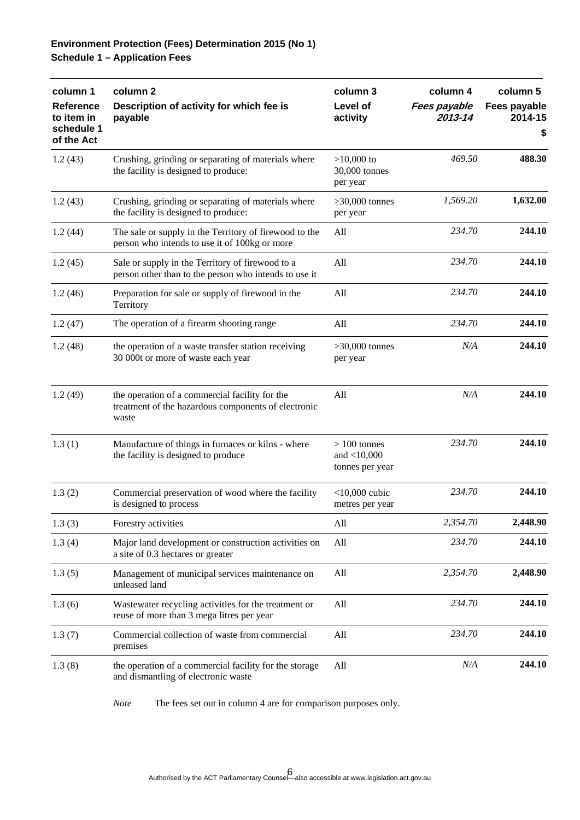| column 1                       | column <sub>2</sub>                                                                                            | column 3                                            | column 4                | column 5                |
|--------------------------------|----------------------------------------------------------------------------------------------------------------|-----------------------------------------------------|-------------------------|-------------------------|
| <b>Reference</b><br>to item in | Description of activity for which fee is<br>payable                                                            | Level of<br>activity                                | Fees payable<br>2013-14 | Fees payable<br>2014-15 |
| schedule 1<br>of the Act       |                                                                                                                |                                                     |                         | \$                      |
| 1.2(43)                        | Crushing, grinding or separating of materials where<br>the facility is designed to produce:                    | $>10,000$ to<br>30,000 tonnes<br>per year           | 469.50                  | 488.30                  |
| 1.2(43)                        | Crushing, grinding or separating of materials where<br>the facility is designed to produce:                    | $>30,000$ tonnes<br>per year                        | 1,569.20                | 1,632.00                |
| 1.2(44)                        | The sale or supply in the Territory of firewood to the<br>person who intends to use it of 100kg or more        | All                                                 | 234.70                  | 244.10                  |
| 1.2(45)                        | Sale or supply in the Territory of firewood to a<br>person other than to the person who intends to use it      | All                                                 | 234.70                  | 244.10                  |
| 1.2(46)                        | Preparation for sale or supply of firewood in the<br>Territory                                                 | All                                                 | 234.70                  | 244.10                  |
| 1.2(47)                        | The operation of a firearm shooting range                                                                      | All                                                 | 234.70                  | 244.10                  |
| 1.2(48)                        | the operation of a waste transfer station receiving<br>30 000t or more of waste each year                      | $>30,000$ tonnes<br>per year                        | N/A                     | 244.10                  |
| 1.2(49)                        | the operation of a commercial facility for the<br>treatment of the hazardous components of electronic<br>waste | All                                                 | N/A                     | 244.10                  |
| 1.3(1)                         | Manufacture of things in furnaces or kilns - where<br>the facility is designed to produce                      | $> 100$ tonnes<br>and $<$ 10,000<br>tonnes per year | 234.70                  | 244.10                  |
| 1.3(2)                         | Commercial preservation of wood where the facility<br>is designed to process                                   | $<$ 10,000 cubic<br>metres per year                 | 234.70                  | 244.10                  |
| 1.3(3)                         | Forestry activities                                                                                            | All                                                 | 2,354.70                | 2,448.90                |
| 1.3(4)                         | Major land development or construction activities on<br>a site of 0.3 hectares or greater                      | All                                                 | 234.70                  | 244.10                  |
| 1.3(5)                         | Management of municipal services maintenance on<br>unleased land                                               | All                                                 | 2,354.70                | 2,448.90                |
| 1.3(6)                         | Wastewater recycling activities for the treatment or<br>reuse of more than 3 mega litres per year              | All                                                 | 234.70                  | 244.10                  |
| 1.3(7)                         | Commercial collection of waste from commercial<br>premises                                                     | All                                                 | 234.70                  | 244.10                  |
| 1.3(8)                         | the operation of a commercial facility for the storage<br>and dismantling of electronic waste                  | All                                                 | N/A                     | 244.10                  |

*Note* The fees set out in column 4 are for comparison purposes only.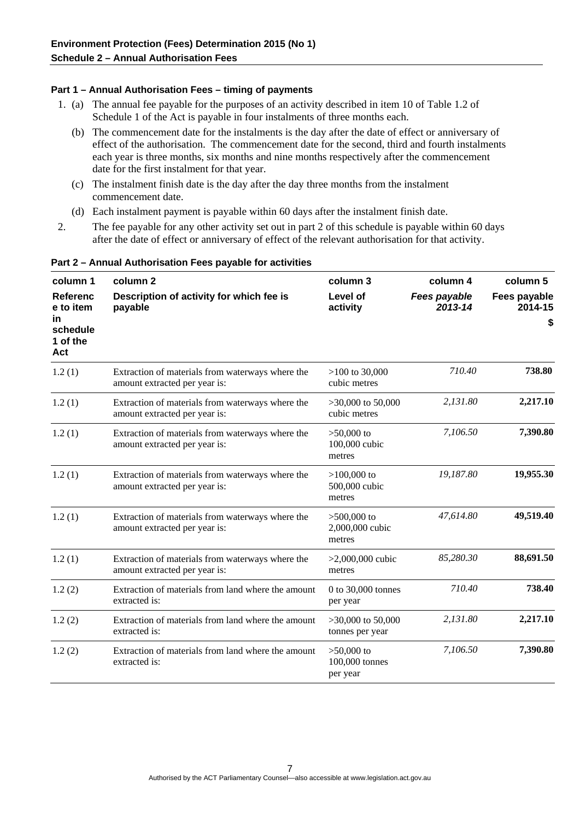#### **Part 1 – Annual Authorisation Fees – timing of payments**

- 1. (a) The annual fee payable for the purposes of an activity described in item 10 of Table 1.2 of Schedule 1 of the Act is payable in four instalments of three months each.
	- (b) The commencement date for the instalments is the day after the date of effect or anniversary of effect of the authorisation. The commencement date for the second, third and fourth instalments each year is three months, six months and nine months respectively after the commencement date for the first instalment for that year.
	- (c) The instalment finish date is the day after the day three months from the instalment commencement date.
	- (d) Each instalment payment is payable within 60 days after the instalment finish date.
- 2. The fee payable for any other activity set out in part 2 of this schedule is payable within 60 days after the date of effect or anniversary of effect of the relevant authorisation for that activity.

| Part 2 - Annual Authorisation Fees payable for activities |  |  |  |
|-----------------------------------------------------------|--|--|--|
|-----------------------------------------------------------|--|--|--|

| column 1                                 | column 2                                                                          | column 3                                   | column 4                       | column 5                |
|------------------------------------------|-----------------------------------------------------------------------------------|--------------------------------------------|--------------------------------|-------------------------|
| Referenc<br>e to item                    | Description of activity for which fee is<br>payable                               | Level of<br>activity                       | <b>Fees payable</b><br>2013-14 | Fees payable<br>2014-15 |
| <b>in</b><br>schedule<br>1 of the<br>Act |                                                                                   |                                            |                                | \$                      |
| 1.2(1)                                   | Extraction of materials from waterways where the<br>amount extracted per year is: | $>100$ to 30,000<br>cubic metres           | 710.40                         | 738.80                  |
| 1.2(1)                                   | Extraction of materials from waterways where the<br>amount extracted per year is: | $>30,000$ to 50,000<br>cubic metres        | 2,131.80                       | 2,217.10                |
| 1.2(1)                                   | Extraction of materials from waterways where the<br>amount extracted per year is: | $>50,000$ to<br>100,000 cubic<br>metres    | 7,106.50                       | 7,390.80                |
| 1.2(1)                                   | Extraction of materials from waterways where the<br>amount extracted per year is: | $>100,000$ to<br>500,000 cubic<br>metres   | 19,187.80                      | 19,955.30               |
| 1.2(1)                                   | Extraction of materials from waterways where the<br>amount extracted per year is: | $>500,000$ to<br>2,000,000 cubic<br>metres | 47,614.80                      | 49,519.40               |
| 1.2(1)                                   | Extraction of materials from waterways where the<br>amount extracted per year is: | $>2,000,000$ cubic<br>metres               | 85,280.30                      | 88,691.50               |
| 1.2(2)                                   | Extraction of materials from land where the amount<br>extracted is:               | 0 to 30,000 tonnes<br>per year             | 710.40                         | 738.40                  |
| 1.2(2)                                   | Extraction of materials from land where the amount<br>extracted is:               | $>30,000$ to 50,000<br>tonnes per year     | 2,131.80                       | 2,217.10                |
| 1.2(2)                                   | Extraction of materials from land where the amount<br>extracted is:               | $>50,000$ to<br>100,000 tonnes<br>per year | 7,106.50                       | 7,390.80                |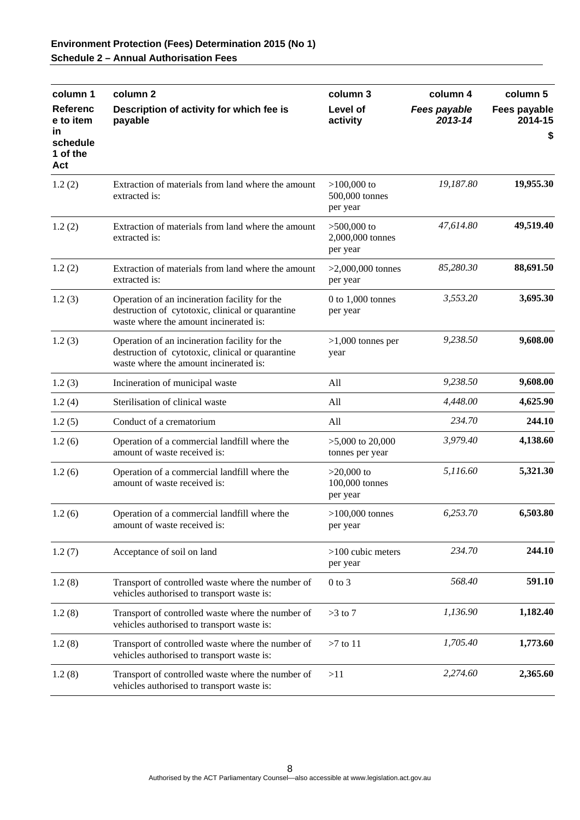| column 1                                                   | column <sub>2</sub>                                                                                                                         | column 3                                      | column 4                       | column 5                      |
|------------------------------------------------------------|---------------------------------------------------------------------------------------------------------------------------------------------|-----------------------------------------------|--------------------------------|-------------------------------|
| <b>Referenc</b><br>e to item<br>in<br>schedule<br>1 of the | Description of activity for which fee is<br>payable                                                                                         | Level of<br>activity                          | <b>Fees payable</b><br>2013-14 | Fees payable<br>2014-15<br>\$ |
| Act                                                        |                                                                                                                                             |                                               |                                |                               |
| 1.2(2)                                                     | Extraction of materials from land where the amount<br>extracted is:                                                                         | $>100,000$ to<br>500,000 tonnes<br>per year   | 19,187.80                      | 19,955.30                     |
| 1.2(2)                                                     | Extraction of materials from land where the amount<br>extracted is:                                                                         | $>500,000$ to<br>2,000,000 tonnes<br>per year | 47,614.80                      | 49,519.40                     |
| 1.2(2)                                                     | Extraction of materials from land where the amount<br>extracted is:                                                                         | $>2,000,000$ tonnes<br>per year               | 85,280.30                      | 88,691.50                     |
| 1.2(3)                                                     | Operation of an incineration facility for the<br>destruction of cytotoxic, clinical or quarantine<br>waste where the amount incinerated is: | $0$ to $1,000$ tonnes<br>per year             | 3,553.20                       | 3,695.30                      |
| 1.2(3)                                                     | Operation of an incineration facility for the<br>destruction of cytotoxic, clinical or quarantine<br>waste where the amount incinerated is: | $>1,000$ tonnes per<br>year                   | 9,238.50                       | 9,608.00                      |
| 1.2(3)                                                     | Incineration of municipal waste                                                                                                             | All                                           | 9,238.50                       | 9,608.00                      |
| 1.2(4)                                                     | Sterilisation of clinical waste                                                                                                             | All                                           | 4,448.00                       | 4,625.90                      |
| 1.2(5)                                                     | Conduct of a crematorium                                                                                                                    | All                                           | 234.70                         | 244.10                        |
| 1.2(6)                                                     | Operation of a commercial landfill where the<br>amount of waste received is:                                                                | $>5,000$ to 20,000<br>tonnes per year         | 3,979.40                       | 4,138.60                      |
| 1.2(6)                                                     | Operation of a commercial landfill where the<br>amount of waste received is:                                                                | $>20,000$ to<br>100,000 tonnes<br>per year    | 5,116.60                       | 5,321.30                      |
| 1.2(6)                                                     | Operation of a commercial landfill where the<br>amount of waste received is:                                                                | $>100,000$ tonnes<br>per year                 | 6,253.70                       | 6,503.80                      |
| 1.2(7)                                                     | Acceptance of soil on land                                                                                                                  | >100 cubic meters<br>per year                 | 234.70                         | 244.10                        |
| 1.2(8)                                                     | Transport of controlled waste where the number of<br>vehicles authorised to transport waste is:                                             | $0$ to $3$                                    | 568.40                         | 591.10                        |
| 1.2(8)                                                     | Transport of controlled waste where the number of<br>vehicles authorised to transport waste is:                                             | $>3$ to 7                                     | 1,136.90                       | 1,182.40                      |
| 1.2(8)                                                     | Transport of controlled waste where the number of<br>vehicles authorised to transport waste is:                                             | $>7$ to 11                                    | 1,705.40                       | 1,773.60                      |
| 1.2(8)                                                     | Transport of controlled waste where the number of<br>vehicles authorised to transport waste is:                                             | >11                                           | 2,274.60                       | 2,365.60                      |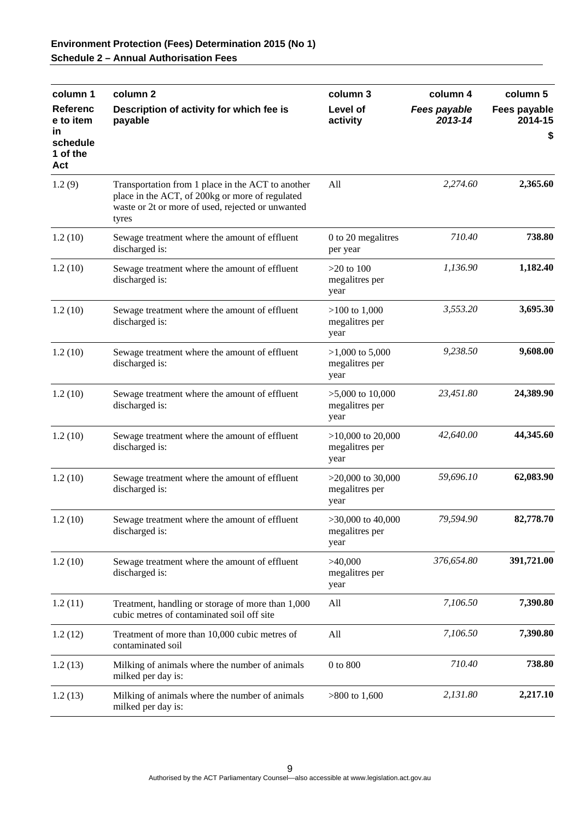| column 1                          | column 2                                                                                                                                                           | column 3                                        | column 4                | column 5                |
|-----------------------------------|--------------------------------------------------------------------------------------------------------------------------------------------------------------------|-------------------------------------------------|-------------------------|-------------------------|
| <b>Referenc</b><br>e to item      | Description of activity for which fee is<br>payable                                                                                                                | Level of<br>activity                            | Fees payable<br>2013-14 | Fees payable<br>2014-15 |
| in<br>schedule<br>1 of the<br>Act |                                                                                                                                                                    |                                                 |                         | \$                      |
| 1.2(9)                            | Transportation from 1 place in the ACT to another<br>place in the ACT, of 200kg or more of regulated<br>waste or 2t or more of used, rejected or unwanted<br>tyres | All                                             | 2,274.60                | 2,365.60                |
| 1.2(10)                           | Sewage treatment where the amount of effluent<br>discharged is:                                                                                                    | 0 to 20 megalitres<br>per year                  | 710.40                  | 738.80                  |
| 1.2(10)                           | Sewage treatment where the amount of effluent<br>discharged is:                                                                                                    | $>20$ to 100<br>megalitres per<br>year          | 1,136.90                | 1,182.40                |
| 1.2(10)                           | Sewage treatment where the amount of effluent<br>discharged is:                                                                                                    | $>100$ to 1,000<br>megalitres per<br>year       | 3,553.20                | 3,695.30                |
| 1.2(10)                           | Sewage treatment where the amount of effluent<br>discharged is:                                                                                                    | $>1,000$ to 5,000<br>megalitres per<br>year     | 9,238.50                | 9,608.00                |
| 1.2(10)                           | Sewage treatment where the amount of effluent<br>discharged is:                                                                                                    | $>5,000$ to $10,000$<br>megalitres per<br>year  | 23,451.80               | 24,389.90               |
| 1.2(10)                           | Sewage treatment where the amount of effluent<br>discharged is:                                                                                                    | $>10,000$ to 20,000<br>megalitres per<br>year   | 42,640.00               | 44,345.60               |
| 1.2(10)                           | Sewage treatment where the amount of effluent<br>discharged is:                                                                                                    | $>20,000$ to $30,000$<br>megalitres per<br>year | 59,696.10               | 62,083.90               |
| 1.2(10)                           | Sewage treatment where the amount of effluent<br>discharged is:                                                                                                    | $>30,000$ to 40,000<br>megalitres per<br>year   | 79,594.90               | 82,778.70               |
| 1.2(10)                           | Sewage treatment where the amount of effluent<br>discharged is:                                                                                                    | >40,000<br>megalitres per<br>year               | 376,654.80              | 391,721.00              |
| 1.2(11)                           | Treatment, handling or storage of more than 1,000<br>cubic metres of contaminated soil off site                                                                    | All                                             | 7,106.50                | 7,390.80                |
| 1.2(12)                           | Treatment of more than 10,000 cubic metres of<br>contaminated soil                                                                                                 | All                                             | 7,106.50                | 7,390.80                |
| 1.2(13)                           | Milking of animals where the number of animals<br>milked per day is:                                                                                               | $0$ to $800$                                    | 710.40                  | 738.80                  |
| 1.2(13)                           | Milking of animals where the number of animals<br>milked per day is:                                                                                               | $>800$ to 1,600                                 | 2,131.80                | 2,217.10                |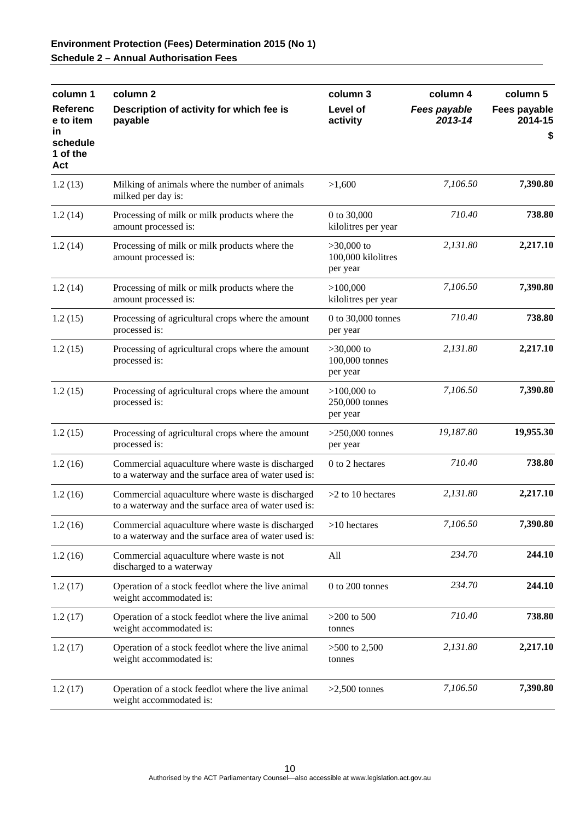| column 1                           | column 2                                                                                                 | column 3                                       | column 4                | column 5                |
|------------------------------------|----------------------------------------------------------------------------------------------------------|------------------------------------------------|-------------------------|-------------------------|
| <b>Referenc</b><br>e to item<br>in | Description of activity for which fee is<br>payable                                                      | Level of<br>activity                           | Fees payable<br>2013-14 | Fees payable<br>2014-15 |
| schedule<br>1 of the<br>Act        |                                                                                                          |                                                |                         | \$                      |
| 1.2(13)                            | Milking of animals where the number of animals<br>milked per day is:                                     | >1,600                                         | 7,106.50                | 7,390.80                |
| 1.2(14)                            | Processing of milk or milk products where the<br>amount processed is:                                    | 0 to 30,000<br>kilolitres per year             | 710.40                  | 738.80                  |
| 1.2(14)                            | Processing of milk or milk products where the<br>amount processed is:                                    | $>30,000$ to<br>100,000 kilolitres<br>per year | 2,131.80                | 2,217.10                |
| 1.2(14)                            | Processing of milk or milk products where the<br>amount processed is:                                    | >100,000<br>kilolitres per year                | 7,106.50                | 7,390.80                |
| 1.2(15)                            | Processing of agricultural crops where the amount<br>processed is:                                       | 0 to 30,000 tonnes<br>per year                 | 710.40                  | 738.80                  |
| 1.2(15)                            | Processing of agricultural crops where the amount<br>processed is:                                       | $>30,000$ to<br>100,000 tonnes<br>per year     | 2,131.80                | 2,217.10                |
| 1.2(15)                            | Processing of agricultural crops where the amount<br>processed is:                                       | $>100,000$ to<br>250,000 tonnes<br>per year    | 7,106.50                | 7,390.80                |
| 1.2(15)                            | Processing of agricultural crops where the amount<br>processed is:                                       | $>250,000$ tonnes<br>per year                  | 19,187.80               | 19,955.30               |
| 1.2(16)                            | Commercial aquaculture where waste is discharged<br>to a waterway and the surface area of water used is: | 0 to 2 hectares                                | 710.40                  | 738.80                  |
| 1.2(16)                            | Commercial aquaculture where waste is discharged<br>to a waterway and the surface area of water used is: | >2 to 10 hectares                              | 2,131.80                | 2,217.10                |
| 1.2(16)                            | Commercial aquaculture where waste is discharged<br>to a waterway and the surface area of water used is: | $>10$ hectares                                 | 7,106.50                | 7,390.80                |
| 1.2(16)                            | Commercial aquaculture where waste is not<br>discharged to a waterway                                    | All                                            | 234.70                  | 244.10                  |
| 1.2(17)                            | Operation of a stock feedlot where the live animal<br>weight accommodated is:                            | 0 to 200 tonnes                                | 234.70                  | 244.10                  |
| 1.2(17)                            | Operation of a stock feedlot where the live animal<br>weight accommodated is:                            | $>200$ to 500<br>tonnes                        | 710.40                  | 738.80                  |
| 1.2(17)                            | Operation of a stock feedlot where the live animal<br>weight accommodated is:                            | $>500$ to 2,500<br>tonnes                      | 2,131.80                | 2,217.10                |
| 1.2(17)                            | Operation of a stock feedlot where the live animal<br>weight accommodated is:                            | $>2,500$ tonnes                                | 7,106.50                | 7,390.80                |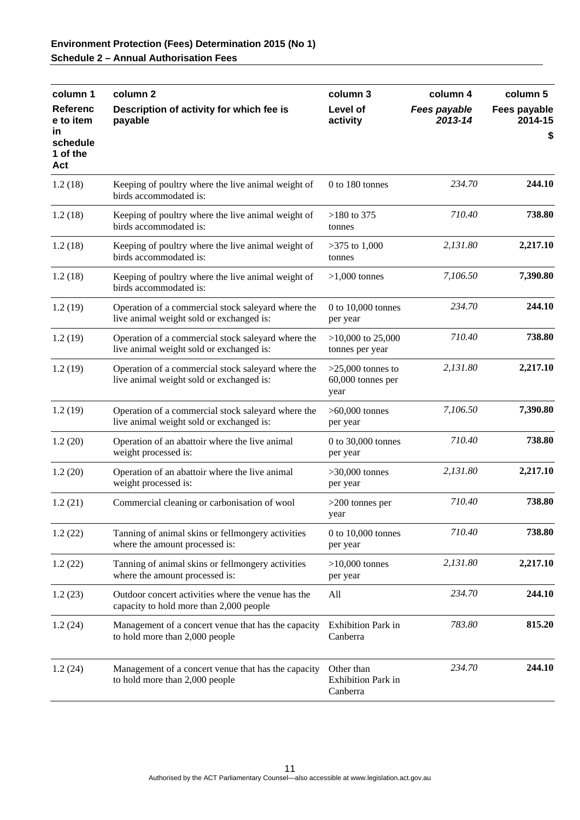| column 1                          | column 2                                                                                       | column 3                                         | column 4                | column 5                |
|-----------------------------------|------------------------------------------------------------------------------------------------|--------------------------------------------------|-------------------------|-------------------------|
| <b>Referenc</b><br>e to item      | Description of activity for which fee is<br>payable                                            | Level of<br>activity                             | Fees payable<br>2013-14 | Fees payable<br>2014-15 |
| in<br>schedule<br>1 of the<br>Act |                                                                                                |                                                  |                         | \$                      |
| 1.2(18)                           | Keeping of poultry where the live animal weight of<br>birds accommodated is:                   | 0 to 180 tonnes                                  | 234.70                  | 244.10                  |
| 1.2(18)                           | Keeping of poultry where the live animal weight of<br>birds accommodated is:                   | $>180$ to 375<br>tonnes                          | 710.40                  | 738.80                  |
| 1.2(18)                           | Keeping of poultry where the live animal weight of<br>birds accommodated is:                   | $>375$ to 1,000<br>tonnes                        | 2,131.80                | 2,217.10                |
| 1.2(18)                           | Keeping of poultry where the live animal weight of<br>birds accommodated is:                   | $>1,000$ tonnes                                  | 7,106.50                | 7,390.80                |
| 1.2(19)                           | Operation of a commercial stock saleyard where the<br>live animal weight sold or exchanged is: | 0 to 10,000 tonnes<br>per year                   | 234.70                  | 244.10                  |
| 1.2(19)                           | Operation of a commercial stock saleyard where the<br>live animal weight sold or exchanged is: | $>10,000$ to 25,000<br>tonnes per year           | 710.40                  | 738.80                  |
| 1.2(19)                           | Operation of a commercial stock saleyard where the<br>live animal weight sold or exchanged is: | $>25,000$ tonnes to<br>60,000 tonnes per<br>year | 2,131.80                | 2,217.10                |
| 1.2(19)                           | Operation of a commercial stock saleyard where the<br>live animal weight sold or exchanged is: | $>60,000$ tonnes<br>per year                     | 7,106.50                | 7,390.80                |
| 1.2(20)                           | Operation of an abattoir where the live animal<br>weight processed is:                         | 0 to 30,000 tonnes<br>per year                   | 710.40                  | 738.80                  |
| 1.2(20)                           | Operation of an abattoir where the live animal<br>weight processed is:                         | $>30,000$ tonnes<br>per year                     | 2,131.80                | 2,217.10                |
| 1.2(21)                           | Commercial cleaning or carbonisation of wool                                                   | $>200$ tonnes per<br>year                        | 710.40                  | 738.80                  |
| 1.2(22)                           | Tanning of animal skins or fellmongery activities<br>where the amount processed is:            | 0 to 10,000 tonnes<br>per year                   | 710.40                  | 738.80                  |
| 1.2(22)                           | Tanning of animal skins or fellmongery activities<br>where the amount processed is:            | $>10,000$ tonnes<br>per year                     | 2,131.80                | 2,217.10                |
| 1.2(23)                           | Outdoor concert activities where the venue has the<br>capacity to hold more than 2,000 people  | All                                              | 234.70                  | 244.10                  |
| 1.2(24)                           | Management of a concert venue that has the capacity<br>to hold more than 2,000 people          | <b>Exhibition Park in</b><br>Canberra            | 783.80                  | 815.20                  |
| 1.2(24)                           | Management of a concert venue that has the capacity<br>to hold more than 2,000 people          | Other than<br>Exhibition Park in<br>Canberra     | 234.70                  | 244.10                  |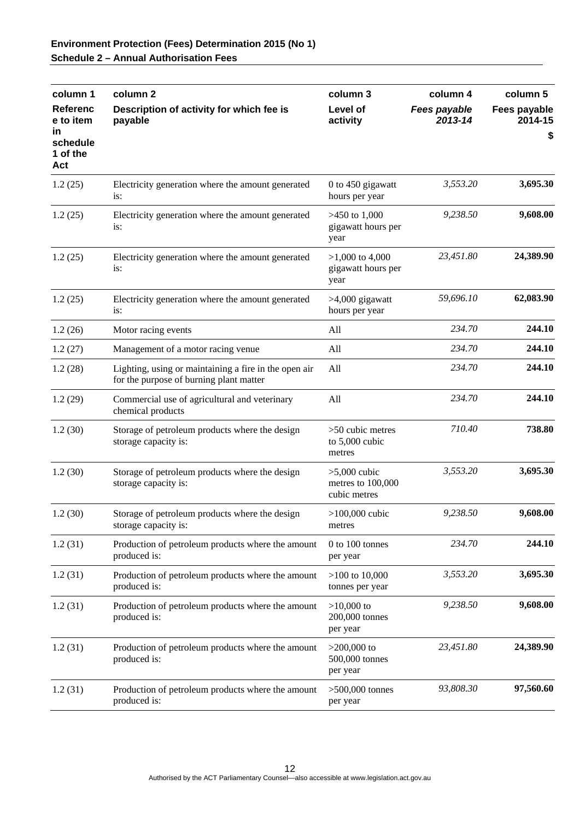| column 1                          | column <sub>2</sub>                                                                              | column 3                                            | column 4                | column 5                |
|-----------------------------------|--------------------------------------------------------------------------------------------------|-----------------------------------------------------|-------------------------|-------------------------|
| <b>Referenc</b><br>e to item      | Description of activity for which fee is<br>payable                                              | Level of<br>activity                                | Fees payable<br>2013-14 | Fees payable<br>2014-15 |
| in<br>schedule<br>1 of the<br>Act |                                                                                                  |                                                     |                         | \$                      |
| 1.2(25)                           | Electricity generation where the amount generated<br>is:                                         | 0 to 450 gigawatt<br>hours per year                 | 3,553.20                | 3,695.30                |
| 1.2(25)                           | Electricity generation where the amount generated<br>is:                                         | $>450$ to 1,000<br>gigawatt hours per<br>year       | 9,238.50                | 9,608.00                |
| 1.2(25)                           | Electricity generation where the amount generated<br>is:                                         | $>1,000$ to 4,000<br>gigawatt hours per<br>year     | 23,451.80               | 24,389.90               |
| 1.2(25)                           | Electricity generation where the amount generated<br>is:                                         | $>4,000$ gigawatt<br>hours per year                 | 59,696.10               | 62,083.90               |
| 1.2(26)                           | Motor racing events                                                                              | All                                                 | 234.70                  | 244.10                  |
| 1.2(27)                           | Management of a motor racing venue                                                               | All                                                 | 234.70                  | 244.10                  |
| 1.2(28)                           | Lighting, using or maintaining a fire in the open air<br>for the purpose of burning plant matter | All                                                 | 234.70                  | 244.10                  |
| 1.2(29)                           | Commercial use of agricultural and veterinary<br>chemical products                               | All                                                 | 234.70                  | 244.10                  |
| 1.2(30)                           | Storage of petroleum products where the design<br>storage capacity is:                           | $>50$ cubic metres<br>to 5,000 cubic<br>metres      | 710.40                  | 738.80                  |
| 1.2(30)                           | Storage of petroleum products where the design<br>storage capacity is:                           | $>5,000$ cubic<br>metres to 100,000<br>cubic metres | 3,553.20                | 3,695.30                |
| 1.2(30)                           | Storage of petroleum products where the design<br>storage capacity is:                           | $>100,000$ cubic<br>metres                          | 9,238.50                | 9,608.00                |
| 1.2(31)                           | Production of petroleum products where the amount<br>produced is:                                | 0 to 100 tonnes<br>per year                         | 234.70                  | 244.10                  |
| 1.2(31)                           | Production of petroleum products where the amount<br>produced is:                                | $>100$ to 10,000<br>tonnes per year                 | 3,553.20                | 3,695.30                |
| 1.2(31)                           | Production of petroleum products where the amount<br>produced is:                                | $>10,000$ to<br>200,000 tonnes<br>per year          | 9,238.50                | 9,608.00                |
| 1.2(31)                           | Production of petroleum products where the amount<br>produced is:                                | $>200,000$ to<br>500,000 tonnes<br>per year         | 23,451.80               | 24,389.90               |
| 1.2(31)                           | Production of petroleum products where the amount<br>produced is:                                | $>500,000$ tonnes<br>per year                       | 93,808.30               | 97,560.60               |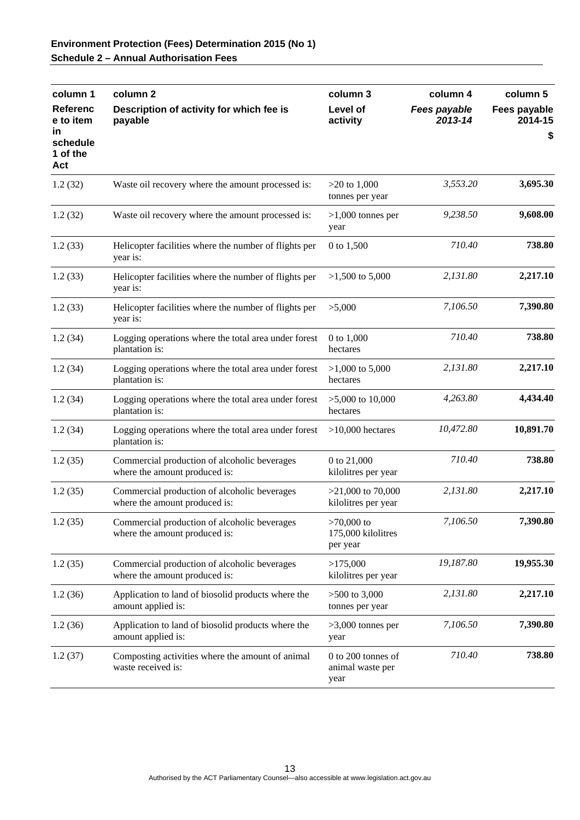| column 1                                                   | column <sub>2</sub>                                                           | column 3                                       | column 4                | column 5                      |
|------------------------------------------------------------|-------------------------------------------------------------------------------|------------------------------------------------|-------------------------|-------------------------------|
| <b>Referenc</b><br>e to item<br>in<br>schedule<br>1 of the | Description of activity for which fee is<br>payable                           | Level of<br>activity                           | Fees payable<br>2013-14 | Fees payable<br>2014-15<br>\$ |
| Act                                                        |                                                                               |                                                |                         |                               |
| 1.2(32)                                                    | Waste oil recovery where the amount processed is:                             | $>20$ to 1,000<br>tonnes per year              | 3,553.20                | 3,695.30                      |
| 1.2(32)                                                    | Waste oil recovery where the amount processed is:                             | $>1,000$ tonnes per<br>year                    | 9,238.50                | 9,608.00                      |
| 1.2(33)                                                    | Helicopter facilities where the number of flights per<br>year is:             | 0 to 1,500                                     | 710.40                  | 738.80                        |
| 1.2(33)                                                    | Helicopter facilities where the number of flights per<br>year is:             | $>1,500$ to 5,000                              | 2,131.80                | 2,217.10                      |
| 1.2(33)                                                    | Helicopter facilities where the number of flights per<br>year is:             | >5,000                                         | 7,106.50                | 7,390.80                      |
| 1.2(34)                                                    | Logging operations where the total area under forest<br>plantation is:        | 0 to 1,000<br>hectares                         | 710.40                  | 738.80                        |
| 1.2(34)                                                    | Logging operations where the total area under forest<br>plantation is:        | $>1,000$ to 5,000<br>hectares                  | 2,131.80                | 2,217.10                      |
| 1.2(34)                                                    | Logging operations where the total area under forest<br>plantation is:        | $>5,000$ to 10,000<br>hectares                 | 4,263.80                | 4,434.40                      |
| 1.2(34)                                                    | Logging operations where the total area under forest<br>plantation is:        | $>10,000$ hectares                             | 10,472.80               | 10,891.70                     |
| 1.2(35)                                                    | Commercial production of alcoholic beverages<br>where the amount produced is: | 0 to 21,000<br>kilolitres per year             | 710.40                  | 738.80                        |
| 1.2(35)                                                    | Commercial production of alcoholic beverages<br>where the amount produced is: | $>21,000$ to 70,000<br>kilolitres per year     | 2,131.80                | 2,217.10                      |
| 1.2(35)                                                    | Commercial production of alcoholic beverages<br>where the amount produced is: | $>70,000$ to<br>175,000 kilolitres<br>per year | 7,106.50                | 7,390.80                      |
| 1.2(35)                                                    | Commercial production of alcoholic beverages<br>where the amount produced is: | >175,000<br>kilolitres per year                | 19,187.80               | 19,955.30                     |
| 1.2(36)                                                    | Application to land of biosolid products where the<br>amount applied is:      | $>500$ to 3,000<br>tonnes per year             | 2,131.80                | 2,217.10                      |
| 1.2(36)                                                    | Application to land of biosolid products where the<br>amount applied is:      | $>3,000$ tonnes per<br>year                    | 7,106.50                | 7,390.80                      |
| 1.2(37)                                                    | Composting activities where the amount of animal<br>waste received is:        | 0 to 200 tonnes of<br>animal waste per<br>year | 710.40                  | 738.80                        |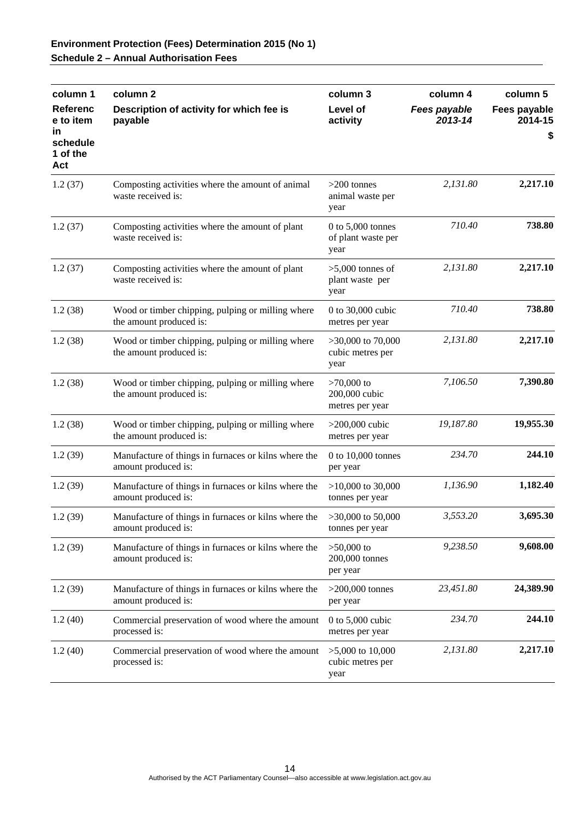| column 1                                       | column <sub>2</sub>                                                          | column 3                                          | column 4                | column 5                      |
|------------------------------------------------|------------------------------------------------------------------------------|---------------------------------------------------|-------------------------|-------------------------------|
| <b>Referenc</b><br>e to item<br>in<br>schedule | Description of activity for which fee is<br>payable                          | Level of<br>activity                              | Fees payable<br>2013-14 | Fees payable<br>2014-15<br>\$ |
| 1 of the<br>Act                                |                                                                              |                                                   |                         |                               |
| 1.2(37)                                        | Composting activities where the amount of animal<br>waste received is:       | $>200$ tonnes<br>animal waste per<br>year         | 2,131.80                | 2,217.10                      |
| 1.2(37)                                        | Composting activities where the amount of plant<br>waste received is:        | $0$ to 5,000 tonnes<br>of plant waste per<br>year | 710.40                  | 738.80                        |
| 1.2(37)                                        | Composting activities where the amount of plant<br>waste received is:        | $>5,000$ tonnes of<br>plant waste per<br>year     | 2,131.80                | 2,217.10                      |
| 1.2(38)                                        | Wood or timber chipping, pulping or milling where<br>the amount produced is: | 0 to 30,000 cubic<br>metres per year              | 710.40                  | 738.80                        |
| 1.2(38)                                        | Wood or timber chipping, pulping or milling where<br>the amount produced is: | $>30,000$ to 70,000<br>cubic metres per<br>year   | 2,131.80                | 2,217.10                      |
| 1.2(38)                                        | Wood or timber chipping, pulping or milling where<br>the amount produced is: | $>70,000$ to<br>200,000 cubic<br>metres per year  | 7,106.50                | 7,390.80                      |
| 1.2(38)                                        | Wood or timber chipping, pulping or milling where<br>the amount produced is: | $>200,000$ cubic<br>metres per year               | 19,187.80               | 19,955.30                     |
| 1.2(39)                                        | Manufacture of things in furnaces or kilns where the<br>amount produced is:  | 0 to 10,000 tonnes<br>per year                    | 234.70                  | 244.10                        |
| 1.2(39)                                        | Manufacture of things in furnaces or kilns where the<br>amount produced is:  | $>10,000$ to 30,000<br>tonnes per year            | 1,136.90                | 1,182.40                      |
| 1.2(39)                                        | Manufacture of things in furnaces or kilns where the<br>amount produced is:  | $>30,000$ to 50,000<br>tonnes per year            | 3,553.20                | 3,695.30                      |
| 1.2(39)                                        | Manufacture of things in furnaces or kilns where the<br>amount produced is:  | $>50,000$ to<br>200,000 tonnes<br>per year        | 9,238.50                | 9,608.00                      |
| 1.2(39)                                        | Manufacture of things in furnaces or kilns where the<br>amount produced is:  | $>200,000$ tonnes<br>per year                     | 23,451.80               | 24,389.90                     |
| 1.2(40)                                        | Commercial preservation of wood where the amount<br>processed is:            | 0 to $5,000$ cubic<br>metres per year             | 234.70                  | 244.10                        |
| 1.2(40)                                        | Commercial preservation of wood where the amount<br>processed is:            | $>5,000$ to 10,000<br>cubic metres per<br>year    | 2,131.80                | 2,217.10                      |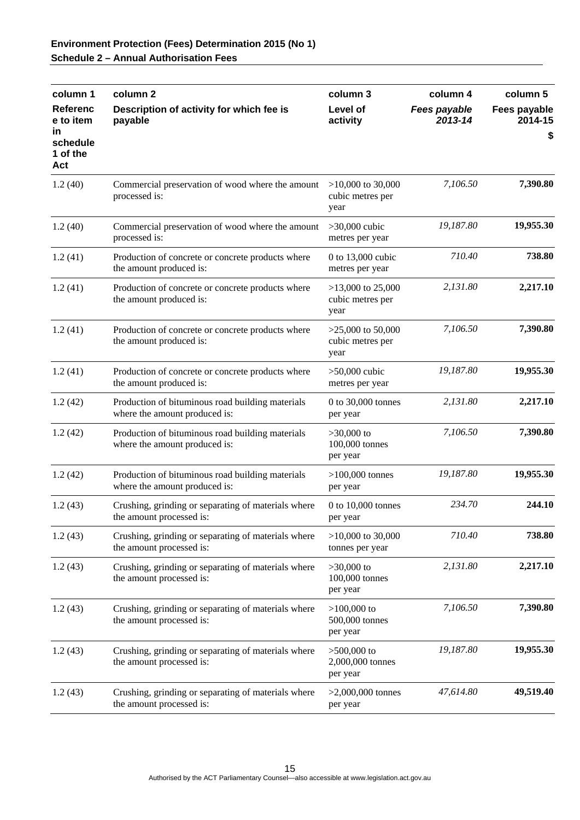| column 1                           | column 2                                                                          | column 3                                        | column 4                | column 5                |
|------------------------------------|-----------------------------------------------------------------------------------|-------------------------------------------------|-------------------------|-------------------------|
| <b>Referenc</b><br>e to item       | Description of activity for which fee is<br>payable                               | Level of<br>activity                            | Fees payable<br>2013-14 | Fees payable<br>2014-15 |
| in.<br>schedule<br>1 of the<br>Act |                                                                                   |                                                 |                         | \$                      |
| 1.2(40)                            | Commercial preservation of wood where the amount<br>processed is:                 | $>10,000$ to 30,000<br>cubic metres per<br>year | 7,106.50                | 7,390.80                |
| 1.2(40)                            | Commercial preservation of wood where the amount<br>processed is:                 | $>30,000$ cubic<br>metres per year              | 19,187.80               | 19,955.30               |
| 1.2(41)                            | Production of concrete or concrete products where<br>the amount produced is:      | 0 to 13,000 cubic<br>metres per year            | 710.40                  | 738.80                  |
| 1.2(41)                            | Production of concrete or concrete products where<br>the amount produced is:      | $>13,000$ to 25,000<br>cubic metres per<br>year | 2,131.80                | 2,217.10                |
| 1.2(41)                            | Production of concrete or concrete products where<br>the amount produced is:      | $>25,000$ to 50,000<br>cubic metres per<br>year | 7,106.50                | 7,390.80                |
| 1.2(41)                            | Production of concrete or concrete products where<br>the amount produced is:      | $>50,000$ cubic<br>metres per year              | 19,187.80               | 19,955.30               |
| 1.2(42)                            | Production of bituminous road building materials<br>where the amount produced is: | 0 to $30,000$ tonnes<br>per year                | 2,131.80                | 2,217.10                |
| 1.2(42)                            | Production of bituminous road building materials<br>where the amount produced is: | $>30,000$ to<br>100,000 tonnes<br>per year      | 7,106.50                | 7,390.80                |
| 1.2(42)                            | Production of bituminous road building materials<br>where the amount produced is: | $>100,000$ tonnes<br>per year                   | 19,187.80               | 19,955.30               |
| 1.2(43)                            | Crushing, grinding or separating of materials where<br>the amount processed is:   | 0 to $10,000$ tonnes<br>per year                | 234.70                  | 244.10                  |
| 1.2(43)                            | Crushing, grinding or separating of materials where<br>the amount processed is:   | $>10,000$ to 30,000<br>tonnes per year          | 710.40                  | 738.80                  |
| 1.2(43)                            | Crushing, grinding or separating of materials where<br>the amount processed is:   | $>30,000$ to<br>100,000 tonnes<br>per year      | 2,131.80                | 2,217.10                |
| 1.2(43)                            | Crushing, grinding or separating of materials where<br>the amount processed is:   | $>100,000$ to<br>500,000 tonnes<br>per year     | 7,106.50                | 7,390.80                |
| 1.2(43)                            | Crushing, grinding or separating of materials where<br>the amount processed is:   | $>500,000$ to<br>2,000,000 tonnes<br>per year   | 19,187.80               | 19,955.30               |
| 1.2(43)                            | Crushing, grinding or separating of materials where<br>the amount processed is:   | $>2,000,000$ tonnes<br>per year                 | 47,614.80               | 49,519.40               |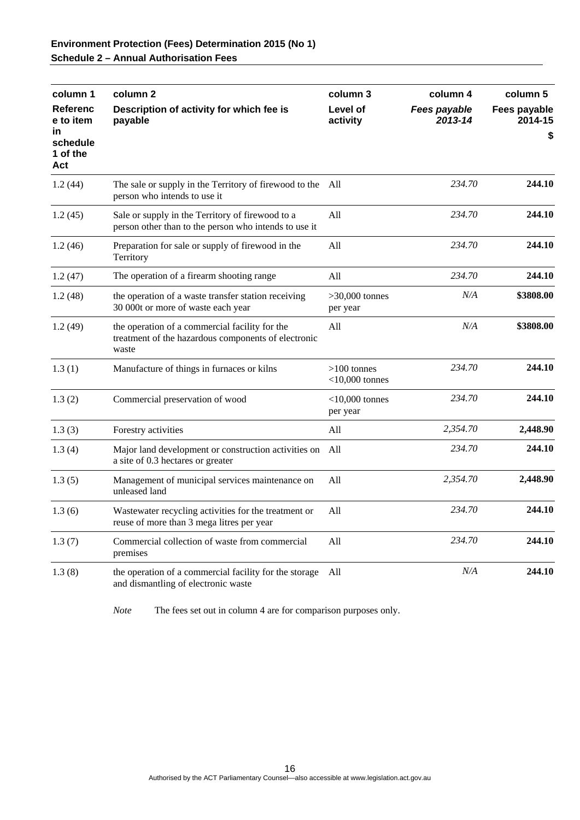| column 1                          | column <sub>2</sub>                                                                                            | column 3                           | column 4                | column 5                |
|-----------------------------------|----------------------------------------------------------------------------------------------------------------|------------------------------------|-------------------------|-------------------------|
| <b>Referenc</b><br>e to item      | Description of activity for which fee is<br>payable                                                            | Level of<br>activity               | Fees payable<br>2013-14 | Fees payable<br>2014-15 |
| in<br>schedule<br>1 of the<br>Act |                                                                                                                |                                    |                         | \$                      |
| 1.2(44)                           | The sale or supply in the Territory of firewood to the<br>person who intends to use it                         | All                                | 234.70                  | 244.10                  |
| 1.2(45)                           | Sale or supply in the Territory of firewood to a<br>person other than to the person who intends to use it      | All                                | 234.70                  | 244.10                  |
| 1.2(46)                           | Preparation for sale or supply of firewood in the<br>Territory                                                 | All                                | 234.70                  | 244.10                  |
| 1.2(47)                           | The operation of a firearm shooting range                                                                      | All                                | 234.70                  | 244.10                  |
| 1.2(48)                           | the operation of a waste transfer station receiving<br>30 000t or more of waste each year                      | $>30,000$ tonnes<br>per year       | N/A                     | \$3808.00               |
| 1.2(49)                           | the operation of a commercial facility for the<br>treatment of the hazardous components of electronic<br>waste | All                                | N/A                     | \$3808.00               |
| 1.3(1)                            | Manufacture of things in furnaces or kilns                                                                     | $>100$ tonnes<br>$<$ 10,000 tonnes | 234.70                  | 244.10                  |
| 1.3(2)                            | Commercial preservation of wood                                                                                | $<$ 10,000 tonnes<br>per year      | 234.70                  | 244.10                  |
| 1.3(3)                            | Forestry activities                                                                                            | All                                | 2,354.70                | 2,448.90                |
| 1.3(4)                            | Major land development or construction activities on<br>a site of 0.3 hectares or greater                      | All                                | 234.70                  | 244.10                  |
| 1.3(5)                            | Management of municipal services maintenance on<br>unleased land                                               | All                                | 2,354.70                | 2,448.90                |
| 1.3(6)                            | Wastewater recycling activities for the treatment or<br>reuse of more than 3 mega litres per year              | All                                | 234.70                  | 244.10                  |
| 1.3(7)                            | Commercial collection of waste from commercial<br>premises                                                     | All                                | 234.70                  | 244.10                  |
| 1.3(8)                            | the operation of a commercial facility for the storage<br>and dismantling of electronic waste                  | All                                | N/A                     | 244.10                  |

*Note* The fees set out in column 4 are for comparison purposes only.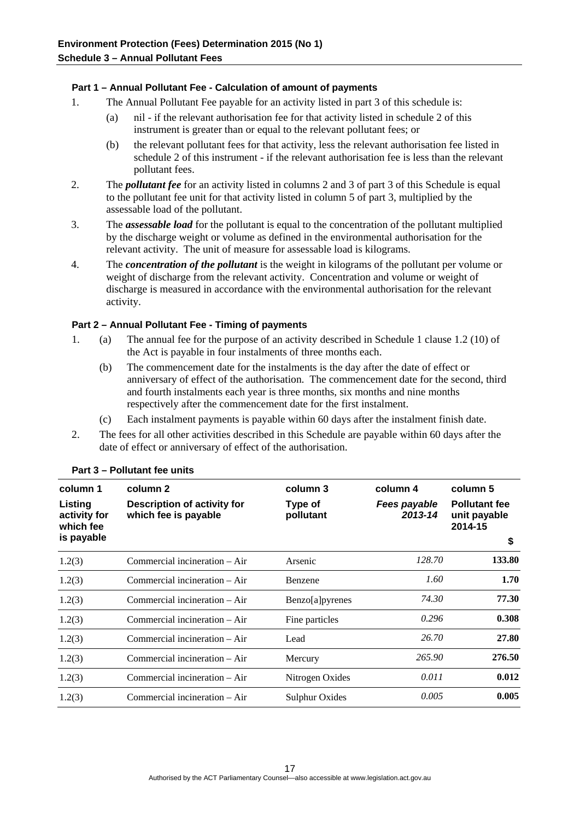#### **Part 1 – Annual Pollutant Fee - Calculation of amount of payments**

- 1. The Annual Pollutant Fee payable for an activity listed in part 3 of this schedule is:
	- (a) nil if the relevant authorisation fee for that activity listed in schedule 2 of this instrument is greater than or equal to the relevant pollutant fees; or
	- (b) the relevant pollutant fees for that activity, less the relevant authorisation fee listed in schedule 2 of this instrument - if the relevant authorisation fee is less than the relevant pollutant fees.
- 2. The *pollutant fee* for an activity listed in columns 2 and 3 of part 3 of this Schedule is equal to the pollutant fee unit for that activity listed in column 5 of part 3, multiplied by the assessable load of the pollutant.
- 3. The *assessable load* for the pollutant is equal to the concentration of the pollutant multiplied by the discharge weight or volume as defined in the environmental authorisation for the relevant activity. The unit of measure for assessable load is kilograms.
- 4. The *concentration of the pollutant* is the weight in kilograms of the pollutant per volume or weight of discharge from the relevant activity. Concentration and volume or weight of discharge is measured in accordance with the environmental authorisation for the relevant activity.

#### **Part 2 – Annual Pollutant Fee - Timing of payments**

- 1. (a) The annual fee for the purpose of an activity described in Schedule 1 clause 1.2 (10) of the Act is payable in four instalments of three months each.
	- (b) The commencement date for the instalments is the day after the date of effect or anniversary of effect of the authorisation. The commencement date for the second, third and fourth instalments each year is three months, six months and nine months respectively after the commencement date for the first instalment.
	- (c) Each instalment payments is payable within 60 days after the instalment finish date.
- 2. The fees for all other activities described in this Schedule are payable within 60 days after the date of effect or anniversary of effect of the authorisation.

| column 1                             | column 2                                            | column 3             | column 4                | column 5                                        |
|--------------------------------------|-----------------------------------------------------|----------------------|-------------------------|-------------------------------------------------|
| Listing<br>activity for<br>which fee | Description of activity for<br>which fee is payable | Type of<br>pollutant | Fees payable<br>2013-14 | <b>Pollutant fee</b><br>unit payable<br>2014-15 |
| is payable                           |                                                     |                      |                         | \$                                              |
| 1.2(3)                               | Commercial incineration - Air                       | Arsenic              | 128.70                  | 133.80                                          |
| 1.2(3)                               | Commercial incineration – Air                       | Benzene              | 1.60                    | 1.70                                            |
| 1.2(3)                               | Commercial incineration – Air                       | Benzo[a]pyrenes      | 74.30                   | 77.30                                           |
| 1.2(3)                               | Commercial incineration – Air                       | Fine particles       | 0.296                   | 0.308                                           |
| 1.2(3)                               | Commercial incineration – Air                       | Lead                 | 26.70                   | 27.80                                           |
| 1.2(3)                               | Commercial incineration – Air                       | Mercury              | 265.90                  | 276.50                                          |
| 1.2(3)                               | Commercial incineration – Air                       | Nitrogen Oxides      | 0.011                   | 0.012                                           |
| 1.2(3)                               | Commercial incineration – Air                       | Sulphur Oxides       | 0.005                   | 0.005                                           |

#### **Part 3 – Pollutant fee units**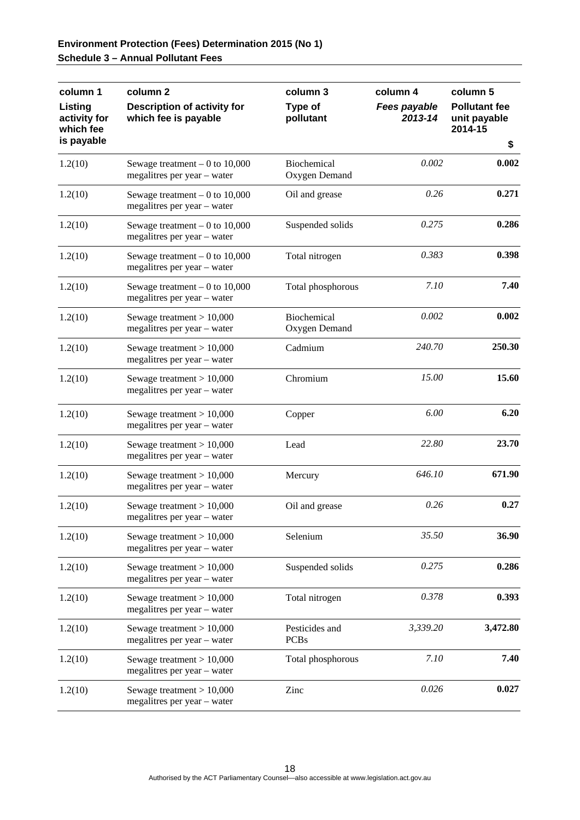| column 1                             | column <sub>2</sub>                                            | column 3                      | column 4                | column 5                                        |
|--------------------------------------|----------------------------------------------------------------|-------------------------------|-------------------------|-------------------------------------------------|
| Listing<br>activity for<br>which fee | <b>Description of activity for</b><br>which fee is payable     | Type of<br>pollutant          | Fees payable<br>2013-14 | <b>Pollutant fee</b><br>unit payable<br>2014-15 |
| is payable                           |                                                                |                               |                         | \$                                              |
| 1.2(10)                              | Sewage treatment $-0$ to 10,000<br>megalitres per year - water | Biochemical<br>Oxygen Demand  | 0.002                   | 0.002                                           |
| 1.2(10)                              | Sewage treatment $-0$ to 10,000<br>megalitres per year – water | Oil and grease                | 0.26                    | 0.271                                           |
| 1.2(10)                              | Sewage treatment $-0$ to 10,000<br>megalitres per year - water | Suspended solids              | 0.275                   | 0.286                                           |
| 1.2(10)                              | Sewage treatment $-0$ to 10,000<br>megalitres per year - water | Total nitrogen                | 0.383                   | 0.398                                           |
| 1.2(10)                              | Sewage treatment $-0$ to 10,000<br>megalitres per year - water | Total phosphorous             | 7.10                    | 7.40                                            |
| 1.2(10)                              | Sewage treatment $> 10,000$<br>megalitres per year – water     | Biochemical<br>Oxygen Demand  | 0.002                   | 0.002                                           |
| 1.2(10)                              | Sewage treatment $> 10,000$<br>megalitres per year – water     | Cadmium                       | 240.70                  | 250.30                                          |
| 1.2(10)                              | Sewage treatment $> 10,000$<br>megalitres per year - water     | Chromium                      | 15.00                   | 15.60                                           |
| 1.2(10)                              | Sewage treatment $> 10,000$<br>megalitres per year - water     | Copper                        | 6.00                    | 6.20                                            |
| 1.2(10)                              | Sewage treatment $> 10,000$<br>megalitres per year - water     | Lead                          | 22.80                   | 23.70                                           |
| 1.2(10)                              | Sewage treatment $> 10,000$<br>megalitres per year - water     | Mercury                       | 646.10                  | 671.90                                          |
| 1.2(10)                              | Sewage treatment $> 10,000$<br>megalitres per year – water     | Oil and grease                | 0.26                    | 0.27                                            |
| 1.2(10)                              | Sewage treatment $> 10,000$<br>megalitres per year – water     | Selenium                      | 35.50                   | 36.90                                           |
| 1.2(10)                              | Sewage treatment $> 10,000$<br>megalitres per year - water     | Suspended solids              | 0.275                   | 0.286                                           |
| 1.2(10)                              | Sewage treatment $> 10,000$<br>megalitres per year - water     | Total nitrogen                | 0.378                   | 0.393                                           |
| 1.2(10)                              | Sewage treatment $> 10,000$<br>megalitres per year - water     | Pesticides and<br><b>PCBs</b> | 3,339.20                | 3,472.80                                        |
| 1.2(10)                              | Sewage treatment $> 10,000$<br>megalitres per year – water     | Total phosphorous             | 7.10                    | 7.40                                            |
| 1.2(10)                              | Sewage treatment $> 10,000$<br>megalitres per year - water     | Zinc                          | 0.026                   | 0.027                                           |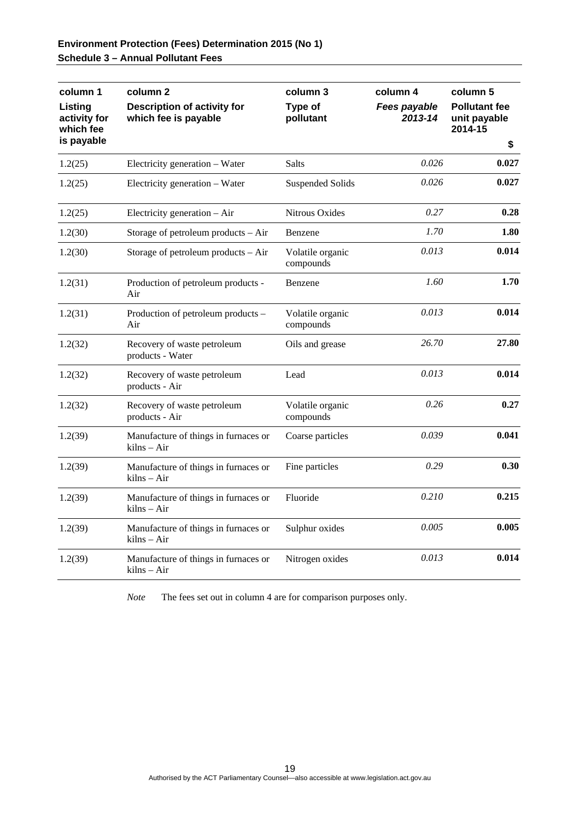| column 1                             | column 2                                                   | column 3                      | column 4                | column 5                                        |
|--------------------------------------|------------------------------------------------------------|-------------------------------|-------------------------|-------------------------------------------------|
| Listing<br>activity for<br>which fee | <b>Description of activity for</b><br>which fee is payable | Type of<br>pollutant          | Fees payable<br>2013-14 | <b>Pollutant fee</b><br>unit payable<br>2014-15 |
| is payable                           |                                                            |                               |                         | \$                                              |
| 1.2(25)                              | Electricity generation - Water                             | <b>Salts</b>                  | 0.026                   | 0.027                                           |
| 1.2(25)                              | Electricity generation - Water                             | <b>Suspended Solids</b>       | 0.026                   | 0.027                                           |
| 1.2(25)                              | Electricity generation - Air                               | Nitrous Oxides                | 0.27                    | 0.28                                            |
| 1.2(30)                              | Storage of petroleum products – Air                        | Benzene                       | 1.70                    | 1.80                                            |
| 1.2(30)                              | Storage of petroleum products $-$ Air                      | Volatile organic<br>compounds | 0.013                   | 0.014                                           |
| 1.2(31)                              | Production of petroleum products -<br>Air                  | Benzene                       | 1.60                    | 1.70                                            |
| 1.2(31)                              | Production of petroleum products -<br>Air                  | Volatile organic<br>compounds | 0.013                   | 0.014                                           |
| 1.2(32)                              | Recovery of waste petroleum<br>products - Water            | Oils and grease               | 26.70                   | 27.80                                           |
| 1.2(32)                              | Recovery of waste petroleum<br>products - Air              | Lead                          | 0.013                   | 0.014                                           |
| 1.2(32)                              | Recovery of waste petroleum<br>products - Air              | Volatile organic<br>compounds | 0.26                    | 0.27                                            |
| 1.2(39)                              | Manufacture of things in furnaces or<br>$kilns-Air$        | Coarse particles              | 0.039                   | 0.041                                           |
| 1.2(39)                              | Manufacture of things in furnaces or<br>kilns – Air        | Fine particles                | 0.29                    | 0.30                                            |
| 1.2(39)                              | Manufacture of things in furnaces or<br>$kilns-Air$        | Fluoride                      | 0.210                   | 0.215                                           |
| 1.2(39)                              | Manufacture of things in furnaces or<br>kilns - Air        | Sulphur oxides                | 0.005                   | 0.005                                           |
| 1.2(39)                              | Manufacture of things in furnaces or<br>kilns – Air        | Nitrogen oxides               | 0.013                   | 0.014                                           |

*Note* The fees set out in column 4 are for comparison purposes only.